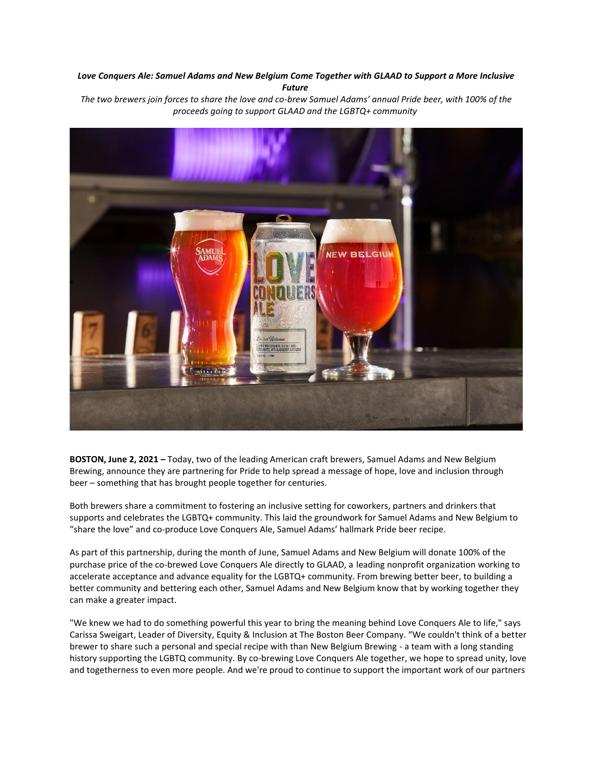# *Love Conquers Ale: Samuel Adams and New Belgium Come Together with GLAAD to Support a More Inclusive Future*

*The two brewers join forces to share the love and co-brew Samuel Adams' annual Pride beer, with 100% of the proceeds going to support GLAAD and the LGBTQ+ community*



**BOSTON, June 2, 2021 –** Today, two of the leading American craft brewers, Samuel Adams and New Belgium Brewing, announce they are partnering for Pride to help spread a message of hope, love and inclusion through beer – something that has brought people together for centuries.

Both brewers share a commitment to fostering an inclusive setting for coworkers, partners and drinkers that supports and celebrates the LGBTQ+ community. This laid the groundwork for Samuel Adams and New Belgium to "share the love" and co-produce Love Conquers Ale, Samuel Adams' hallmark Pride beer recipe.

As part of this partnership, during the month of June, Samuel Adams and New Belgium will donate 100% of the purchase price of the co-brewed Love Conquers Ale directly to GLAAD, a leading nonprofit organization working to accelerate acceptance and advance equality for the LGBTQ+ community. From brewing better beer, to building a better community and bettering each other, Samuel Adams and New Belgium know that by working together they can make a greater impact.

"We knew we had to do something powerful this year to bring the meaning behind Love Conquers Ale to life," says Carissa Sweigart, Leader of Diversity, Equity & Inclusion at The Boston Beer Company. "We couldn't think of a better brewer to share such a personal and special recipe with than New Belgium Brewing - a team with a long standing history supporting the LGBTQ community. By co-brewing Love Conquers Ale together, we hope to spread unity, love and togetherness to even more people. And we're proud to continue to support the important work of our partners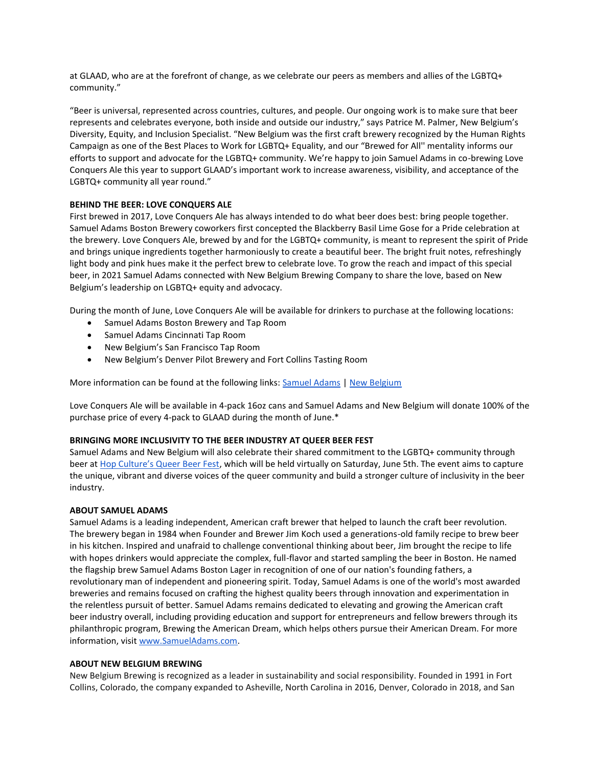at GLAAD, who are at the forefront of change, as we celebrate our peers as members and allies of the LGBTQ+ community."

"Beer is universal, represented across countries, cultures, and people. Our ongoing work is to make sure that beer represents and celebrates everyone, both inside and outside our industry," says Patrice M. Palmer, New Belgium's Diversity, Equity, and Inclusion Specialist. "New Belgium was the first craft brewery recognized by the Human Rights Campaign as one of the Best Places to Work for LGBTQ+ Equality, and our "Brewed for All'' mentality informs our efforts to support and advocate for the LGBTQ+ community. We're happy to join Samuel Adams in co-brewing Love Conquers Ale this year to support GLAAD's important work to increase awareness, visibility, and acceptance of the LGBTQ+ community all year round."

## **BEHIND THE BEER: LOVE CONQUERS ALE**

First brewed in 2017, Love Conquers Ale has always intended to do what beer does best: bring people together. Samuel Adams Boston Brewery coworkers first concepted the Blackberry Basil Lime Gose for a Pride celebration at the brewery. Love Conquers Ale, brewed by and for the LGBTQ+ community, is meant to represent the spirit of Pride and brings unique ingredients together harmoniously to create a beautiful beer. The bright fruit notes, refreshingly light body and pink hues make it the perfect brew to celebrate love. To grow the reach and impact of this special beer, in 2021 Samuel Adams connected with New Belgium Brewing Company to share the love, based on New Belgium's leadership on LGBTQ+ equity and advocacy.

During the month of June, Love Conquers Ale will be available for drinkers to purchase at the following locations:

- Samuel Adams Boston Brewery and Tap Room
- Samuel Adams Cincinnati Tap Room
- New Belgium's San Francisco Tap Room
- New Belgium's Denver Pilot Brewery and Fort Collins Tasting Room

More information can be found at the following links: [Samuel Adams](https://www.samueladams.com/loveconquersall) | [New Belgium](https://www.newbelgium.com/beer/direct-shipping/love-conquers-ale/)

Love Conquers Ale will be available in 4-pack 16oz cans and Samuel Adams and New Belgium will donate 100% of the purchase price of every 4-pack to GLAAD during the month of June.\*

#### **BRINGING MORE INCLUSIVITY TO THE BEER INDUSTRY AT QUEER BEER FEST**

Samuel Adams and New Belgium will also celebrate their shared commitment to the LGBTQ+ community through beer at [Hop Culture's Queer Beer Fest](https://www.hopculture.com/queer-beer-fest-hop-culture-samuel-adams/), which will be held virtually on Saturday, June 5th. The event aims to capture the unique, vibrant and diverse voices of the queer community and build a stronger culture of inclusivity in the beer industry.

#### **ABOUT SAMUEL ADAMS**

Samuel Adams is a leading independent, American craft brewer that helped to launch the craft beer revolution. The brewery began in 1984 when Founder and Brewer Jim Koch used a generations-old family recipe to brew beer in his kitchen. Inspired and unafraid to challenge conventional thinking about beer, Jim brought the recipe to life with hopes drinkers would appreciate the complex, full-flavor and started sampling the beer in Boston. He named the flagship brew Samuel Adams Boston Lager in recognition of one of our nation's founding fathers, a revolutionary man of independent and pioneering spirit. Today, Samuel Adams is one of the world's most awarded breweries and remains focused on crafting the highest quality beers through innovation and experimentation in the relentless pursuit of better. Samuel Adams remains dedicated to elevating and growing the American craft beer industry overall, including providing education and support for entrepreneurs and fellow brewers through its philanthropic program, Brewing the American Dream, which helps others pursue their American Dream. For more information, visi[t](http://www.samueladams.com/) [www.SamuelAdams.com.](http://www.samueladams.com/)

#### **ABOUT NEW BELGIUM BREWING**

New Belgium Brewing is recognized as a leader in sustainability and social responsibility. Founded in 1991 in Fort Collins, Colorado, the company expanded to Asheville, North Carolina in 2016, Denver, Colorado in 2018, and San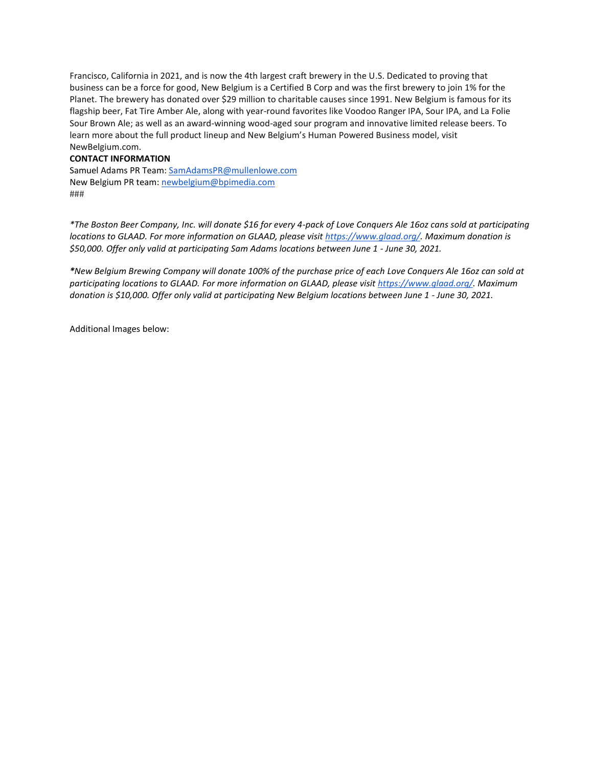Francisco, California in 2021, and is now the 4th largest craft brewery in the U.S. Dedicated to proving that business can be a force for good, New Belgium is a Certified B Corp and was the first brewery to join 1% for the Planet. The brewery has donated over \$29 million to charitable causes since 1991. New Belgium is famous for its flagship beer, Fat Tire Amber Ale, along with year-round favorites like Voodoo Ranger IPA, Sour IPA, and La Folie Sour Brown Ale; as well as an award-winning wood-aged sour program and innovative limited release beers. To learn more about the full product lineup and New Belgium's Human Powered Business model, visit NewBelgium.com.

### **CONTACT INFORMATION**

Samuel Adams PR Team[: SamAdamsPR@mullenlowe.com](mailto:SamAdamsPR@mullenlowe.com) New Belgium PR team: [newbelgium@bpimedia.com](mailto:newbelgium@bpimedia.com) ###

*\*The Boston Beer Company, Inc. will donate \$16 for every 4-pack of Love Conquers Ale 16oz cans sold at participating locations to GLAAD. For more information on GLAAD, please visit [https://www.glaad.org/.](https://www.glaad.org/) Maximum donation is \$50,000. Offer only valid at participating Sam Adams locations between June 1 - June 30, 2021.*

*\*New Belgium Brewing Company will donate 100% of the purchase price of each Love Conquers Ale 16oz can sold at participating locations to GLAAD. For more information on GLAAD, please visit [https://www.glaad.org/.](https://www.glaad.org/) Maximum donation is \$10,000. Offer only valid at participating New Belgium locations between June 1 - June 30, 2021.*

Additional Images below: